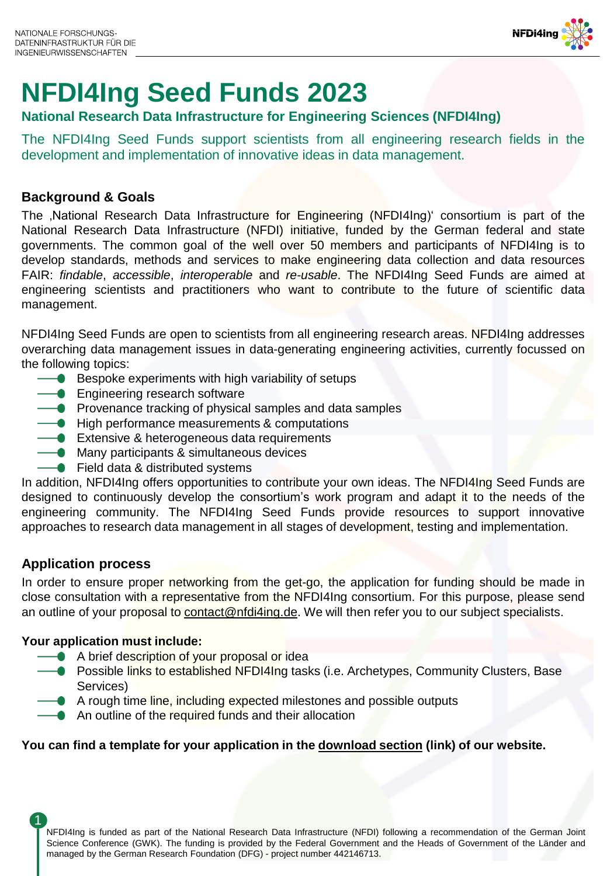

# **NFDI4Ing Seed Funds 2023**

### **National Research Data Infrastructure for Engineering Sciences (NFDI4Ing)**

The NFDI4Ing Seed Funds support scientists from all engineering research fields in the development and implementation of innovative ideas in data management.

#### **Background & Goals**

The ,National Research Data Infrastructure for Engineering (NFDI4Ing)' consortium is part of the National Research Data Infrastructure (NFDI) initiative, funded by the German federal and state governments. The common goal of the well over 50 members and participants of NFDI4Ing is to develop standards, methods and services to make engineering data collection and data resources FAIR: *findable*, *accessible*, *interoperable* and *re-usable*. The NFDI4Ing Seed Funds are aimed at engineering scientists and practitioners who want to contribute to the future of scientific data management.

NFDI4Ing Seed Funds are open to scientists from all engineering research areas. NFDI4Ing addresses overarching data management issues in data-generating engineering activities, currently focussed on the following topics:

- $\rightarrow$  Bespoke experiments with high variability of setups
- **Engineering research software**
- $\rightarrow$  Provenance tracking of physical samples and data samples
- $\rightarrow$  High performance measurements & computations
- **Extensive & heterogeneous data requirements**
- **Many participants & simultaneous devices**
- $\rightarrow$  Field data & distributed systems

In addition, NFDI4Ing offers opportunities to contribute your own ideas. The NFDI4Ing Seed Funds are designed to continuously develop the consortium's work program and adapt it to the needs of the engineering community. The NFDI4Ing Seed Funds provide resources to support innovative approaches to research data management in all stages of development, testing and implementation.

### **Application process**

In order to ensure proper networking from the get-go, the application for funding should be made in close consultation with a representative from the NFDI4Ing consortium. For this purpose, please send an outline of your proposal to [contact@nfdi4ing.de.](mailto:contact@nfdi4ing.de) We will then refer you to our subject specialists.

#### **Your application must include:**

- A brief description of your proposal or idea
- **•** Possible links to established NFDI4Ing tasks (i.e. Archetypes, Community Clusters, Base Services)
	- A rough time line, including expected milestones and possible outputs
	- An outline of the required funds and their allocation

#### **You can find a template for your application in the [download section](https://nfdi4ing.de/resources/downloads/) (link) of our website.**

NFDI4Ing is funded as part of the National Research Data Infrastructure (NFDI) following a recommendation of the German Joint Science Conference (GWK). The funding is provided by the Federal Government and the Heads of Government of the Länder and managed by the German Research Foundation (DFG) - project number 442146713. 1